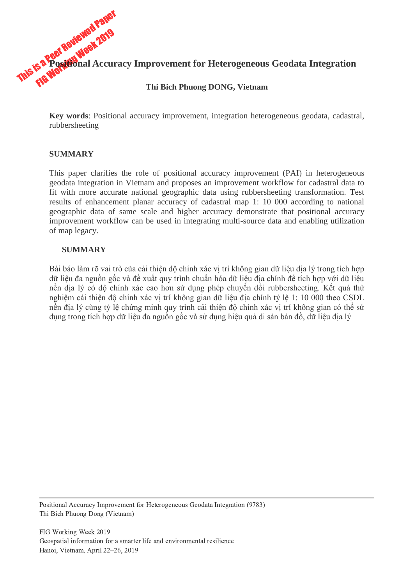

**Key words**: Positional accuracy improvement, integration heterogeneous geodata, cadastral, rubbersheeting

# **SUMMARY**

This paper clarifies the role of positional accuracy improvement (PAI) in heterogeneous geodata integration in Vietnam and proposes an improvement workflow for cadastral data to fit with more accurate national geographic data using rubbersheeting transformation. Test results of enhancement planar accuracy of cadastral map 1: 10 000 according to national geographic data of same scale and higher accuracy demonstrate that positional accuracy improvement workflow can be used in integrating multi-source data and enabling utilization of map legacy.

### **SUMMARY**

Bài báo làm rõ vai trò của cải thiện độ chính xác vị trí không gian dữ liệu địa lý trong tích hợp dữ liệu đa nguồn gốc và đề xuất quy trình chuẩn hóa dữ liệu địa chính để tích hợp với dữ liệu nền địa lý có độ chính xác cao hơn sử dụng phép chuyển đổi rubbersheeting. Kết quả thử nghiệm cải thiện độ chính xác vị trí không gian dữ liệu địa chính tỷ lệ 1: 10 000 theo CSDL nền địa lý cùng tỷ lệ chứng minh quy trình cải thiện độ chính xác vị trí không gian có thể sử dụng trong tích hợp dữ liệu đa nguồn gốc và sử dụng hiệu quả di sản bản đồ, dữ liệu địa lý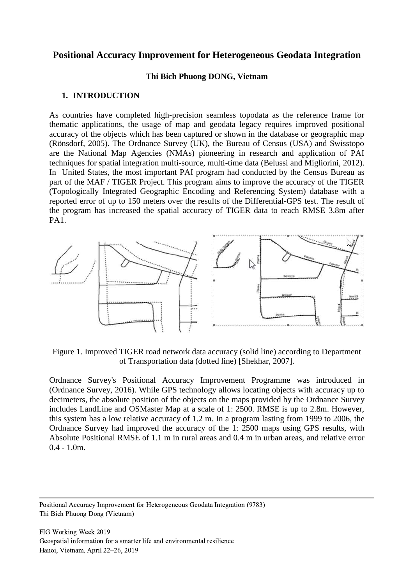# **Positional Accuracy Improvement for Heterogeneous Geodata Integration**

#### **Thi Bich Phuong DONG, Vietnam**

#### **1. INTRODUCTION**

As countries have completed high-precision seamless topodata as the reference frame for thematic applications, the usage of map and geodata legacy requires improved positional accuracy of the objects which has been captured or shown in the database or geographic map (Rönsdorf, 2005). The Ordnance Survey (UK), the Bureau of Census (USA) and Swisstopo are the National Map Agencies (NMAs) pioneering in research and application of PAI techniques for spatial integration multi-source, multi-time data (Belussi and Migliorini, 2012). In United States, the most important PAI program had conducted by the Census Bureau as part of the MAF / TIGER Project. This program aims to improve the accuracy of the TIGER (Topologically Integrated Geographic Encoding and Referencing System) database with a reported error of up to 150 meters over the results of the Differential-GPS test. The result of the program has increased the spatial accuracy of TIGER data to reach RMSE 3.8m after PA1.



Figure 1. Improved TIGER road network data accuracy (solid line) according to Department of Transportation data (dotted line) [Shekhar, 2007].

Ordnance Survey's Positional Accuracy Improvement Programme was introduced in (Ordnance Survey, 2016). While GPS technology allows locating objects with accuracy up to decimeters, the absolute position of the objects on the maps provided by the Ordnance Survey includes LandLine and OSMaster Map at a scale of 1: 2500. RMSE is up to 2.8m. However, this system has a low relative accuracy of 1.2 m. In a program lasting from 1999 to 2006, the Ordnance Survey had improved the accuracy of the 1: 2500 maps using GPS results, with Absolute Positional RMSE of 1.1 m in rural areas and 0.4 m in urban areas, and relative error 0.4 - 1.0m.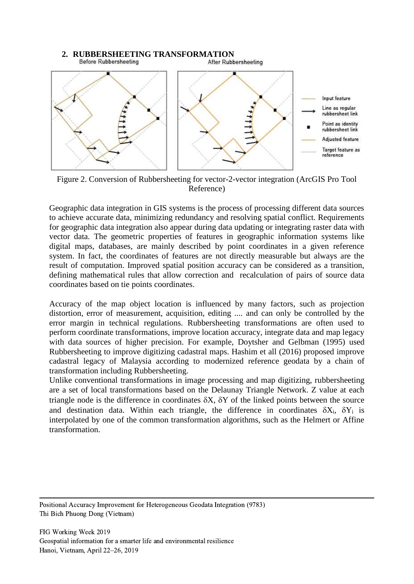

Figure 2. Conversion of Rubbersheeting for vector-2-vector integration (ArcGIS Pro Tool Reference)

Geographic data integration in GIS systems is the process of processing different data sources to achieve accurate data, minimizing redundancy and resolving spatial conflict. Requirements for geographic data integration also appear during data updating or integrating raster data with vector data. The geometric properties of features in geographic information systems like digital maps, databases, are mainly described by point coordinates in a given reference system. In fact, the coordinates of features are not directly measurable but always are the result of computation. Improved spatial position accuracy can be considered as a transition, defining mathematical rules that allow correction and recalculation of pairs of source data coordinates based on tie points coordinates.

Accuracy of the map object location is influenced by many factors, such as projection distortion, error of measurement, acquisition, editing .... and can only be controlled by the error margin in technical regulations. Rubbersheeting transformations are often used to perform coordinate transformations, improve location accuracy, integrate data and map legacy with data sources of higher precision. For example, Doytsher and Gelbman (1995) used Rubbersheeting to improve digitizing cadastral maps. Hashim et all (2016) proposed improve cadastral legacy of Malaysia according to modernized reference geodata by a chain of transformation including Rubbersheeting.

Unlike conventional transformations in image processing and map digitizing, rubbersheeting are a set of local transformations based on the Delaunay Triangle Network. Z value at each triangle node is the difference in coordinates  $\delta X$ ,  $\delta Y$  of the linked points between the source and destination data. Within each triangle, the difference in coordinates  $\delta X_i$ ,  $\delta Y_i$  is interpolated by one of the common transformation algorithms, such as the Helmert or Affine transformation.

Positional Accuracy Improvement for Heterogeneous Geodata Integration (9783) Thi Bich Phuong Dong (Vietnam)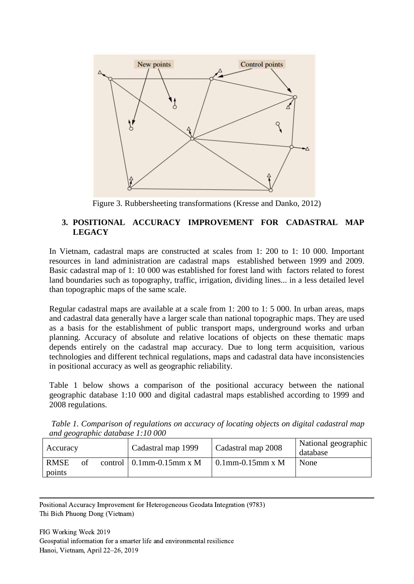

Figure 3. Rubbersheeting transformations (Kresse and Danko, 2012)

# **3. POSITIONAL ACCURACY IMPROVEMENT FOR CADASTRAL MAP LEGACY**

In Vietnam, cadastral maps are constructed at scales from 1: 200 to 1: 10 000. Important resources in land administration are cadastral maps established between 1999 and 2009. Basic cadastral map of 1: 10 000 was established for forest land with factors related to forest land boundaries such as topography, traffic, irrigation, dividing lines... in a less detailed level than topographic maps of the same scale.

Regular cadastral maps are available at a scale from 1: 200 to 1: 5 000. In urban areas, maps and cadastral data generally have a larger scale than national topographic maps. They are used as a basis for the establishment of public transport maps, underground works and urban planning. Accuracy of absolute and relative locations of objects on these thematic maps depends entirely on the cadastral map accuracy. Due to long term acquisition, various technologies and different technical regulations, maps and cadastral data have inconsistencies in positional accuracy as well as geographic reliability.

Table 1 below shows a comparison of the positional accuracy between the national geographic database 1:10 000 and digital cadastral maps established according to 1999 and 2008 regulations.

*Table 1. Comparison of regulations on accuracy of locating objects on digital cadastral map and geographic database 1:10 000*

| Accuracy                    | Cadastral map 1999               | Cadastral map 2008  | National geographic<br>database |
|-----------------------------|----------------------------------|---------------------|---------------------------------|
| <b>RMSE</b><br>of<br>points | control $\vert$ 0.1mm-0.15mm x M | $0.1$ mm-0.15mm x M | None                            |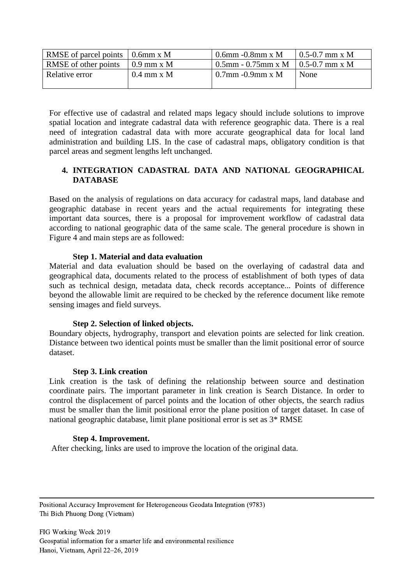| RMSE of parcel points $\vert$ 0.6mm x M |               | $0.6$ mm $-0.8$ mm x M                 | $10.5 - 0.7$ mm x M |
|-----------------------------------------|---------------|----------------------------------------|---------------------|
| RMSE of other points                    | $10.9$ mm x M | $0.5$ mm - 0.75mm x M   0.5-0.7 mm x M |                     |
| Relative error                          | $0.4$ mm x M  | $0.7$ mm - $0.9$ mm x M                | None                |

For effective use of cadastral and related maps legacy should include solutions to improve spatial location and integrate cadastral data with reference geographic data. There is a real need of integration cadastral data with more accurate geographical data for local land administration and building LIS. In the case of cadastral maps, obligatory condition is that parcel areas and segment lengths left unchanged.

## **4. INTEGRATION CADASTRAL DATA AND NATIONAL GEOGRAPHICAL DATABASE**

Based on the analysis of regulations on data accuracy for cadastral maps, land database and geographic database in recent years and the actual requirements for integrating these important data sources, there is a proposal for improvement workflow of cadastral data according to national geographic data of the same scale. The general procedure is shown in Figure 4 and main steps are as followed:

#### **Step 1. Material and data evaluation**

Material and data evaluation should be based on the overlaying of cadastral data and geographical data, documents related to the process of establishment of both types of data such as technical design, metadata data, check records acceptance... Points of difference beyond the allowable limit are required to be checked by the reference document like remote sensing images and field surveys.

#### **Step 2. Selection of linked objects.**

Boundary objects, hydrography, transport and elevation points are selected for link creation. Distance between two identical points must be smaller than the limit positional error of source dataset.

#### **Step 3. Link creation**

Link creation is the task of defining the relationship between source and destination coordinate pairs. The important parameter in link creation is Search Distance. In order to control the displacement of parcel points and the location of other objects, the search radius must be smaller than the limit positional error the plane position of target dataset. In case of national geographic database, limit plane positional error is set as 3\* RMSE

#### **Step 4. Improvement.**

After checking, links are used to improve the location of the original data.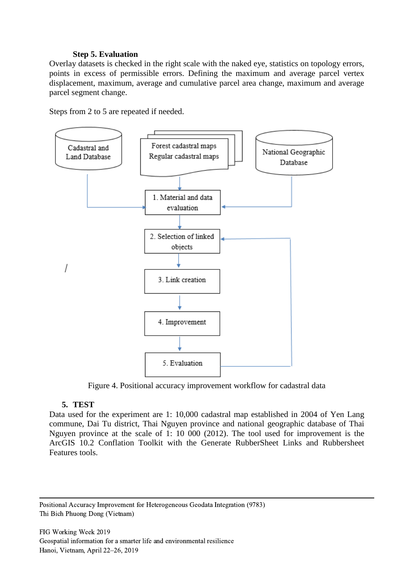### **Step 5. Evaluation**

Overlay datasets is checked in the right scale with the naked eye, statistics on topology errors, points in excess of permissible errors. Defining the maximum and average parcel vertex displacement, maximum, average and cumulative parcel area change, maximum and average parcel segment change.

Steps from 2 to 5 are repeated if needed.



Figure 4. Positional accuracy improvement workflow for cadastral data

## **5. TEST**

Data used for the experiment are 1: 10,000 cadastral map established in 2004 of Yen Lang commune, Dai Tu district, Thai Nguyen province and national geographic database of Thai Nguyen province at the scale of 1: 10 000 (2012). The tool used for improvement is the ArcGIS 10.2 Conflation Toolkit with the Generate RubberSheet Links and Rubbersheet Features tools.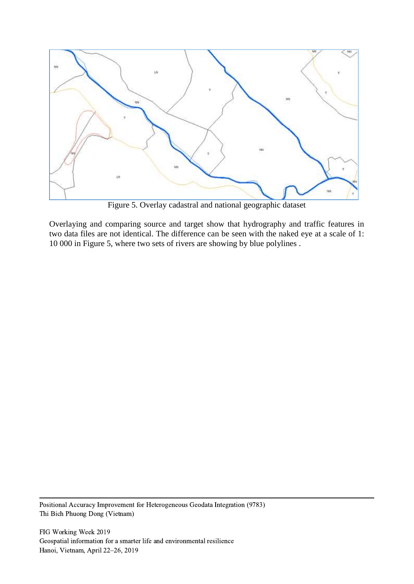

Figure 5. Overlay cadastral and national geographic dataset

Overlaying and comparing source and target show that hydrography and traffic features in two data files are not identical. The difference can be seen with the naked eye at a scale of 1: 10 000 in Figure 5, where two sets of rivers are showing by blue polylines .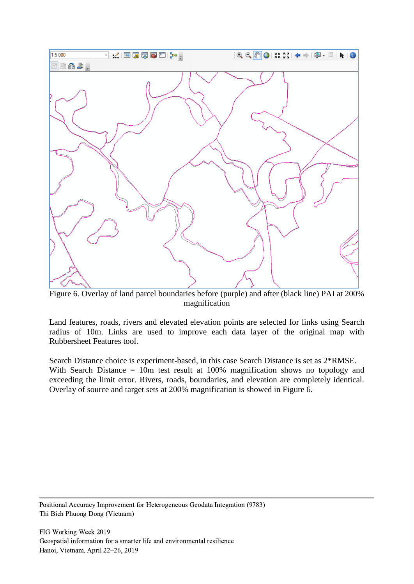

Figure 6. Overlay of land parcel boundaries before (purple) and after (black line) PAI at 200% magnification

Land features, roads, rivers and elevated elevation points are selected for links using Search radius of 10m. Links are used to improve each data layer of the original map with Rubbersheet Features tool.

Search Distance choice is experiment-based, in this case Search Distance is set as 2\*RMSE. With Search Distance = 10m test result at 100% magnification shows no topology and exceeding the limit error. Rivers, roads, boundaries, and elevation are completely identical. Overlay of source and target sets at 200% magnification is showed in Figure 6.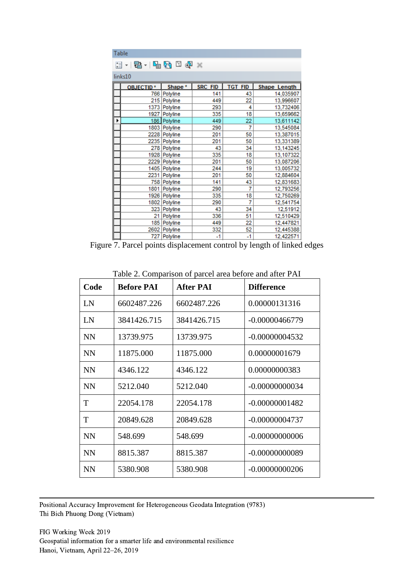|   | Table                      |                    |                |                |                     |
|---|----------------------------|--------------------|----------------|----------------|---------------------|
|   | 日 - 国 -   <i>围 ⊡</i> 면 ⊠ ☆ |                    |                |                |                     |
|   |                            |                    |                |                |                     |
|   | links10                    |                    |                |                |                     |
|   | <b>OBJECTID*</b>           | Shape <sup>*</sup> | <b>SRC FID</b> | <b>TGT FID</b> | <b>Shape Length</b> |
|   | 766                        | Polyline           | 141            | 43             | 14,035907           |
|   |                            | 215 Polyline       | 449            | 22             | 13,996607           |
|   |                            | 1373 Polyline      | 293            | 4              | 13,732406           |
|   |                            | 1927 Polyline      | 335            | 18             | 13,659662           |
| ▶ |                            | 186 Polyline       | 449            | 22             | 13,611142           |
|   |                            | 1803 Polyline      | 290            | 7              | 13,545084           |
|   |                            | 2228 Polyline      | 201            | 50             | 13,387015           |
|   |                            | 2235 Polyline      | 201            | 50             | 13,331389           |
|   |                            | 278 Polyline       | 43             | 34             | 13,143245           |
|   |                            | 1928 Polyline      | 335            | 18             | 13,107322           |
|   |                            | 2229 Polyline      | 201            | 50             | 13,087206           |
|   |                            | 1405 Polyline      | 244            | 19             | 13,005732           |
|   |                            | 2231 Polyline      | 201            | 50             | 12,884604           |
|   |                            | 758 Polyline       | 141            | 43             | 12,831683           |
|   |                            | 1801 Polyline      | 290            | 7              | 12,793256           |
|   |                            | 1926 Polyline      | 335            | 18             | 12,750269           |
|   |                            | 1802 Polyline      | 290            | 7              | 12,541754           |
|   |                            | 323 Polyline       | 43             | 34             | 12,51912            |
|   |                            | 21 Polyline        | 336            | 51             | 12,510429           |
|   | 185                        | Polyline           | 449            | 22             | 12,447821           |
|   |                            | 2602 Polyline      | 332            | 52             | 12,445388           |
|   |                            | 727 Polyline       | $-1$           | -1             | 12,422571           |

Figure 7. Parcel points displacement control by length of linked edges

| Code      | <b>Before PAI</b> | <b>After PAI</b> | <b>Difference</b> |
|-----------|-------------------|------------------|-------------------|
| LN        | 6602487.226       | 6602487.226      | 0.00000131316     |
| LN        | 3841426.715       | 3841426.715      | $-0.00000466779$  |
| <b>NN</b> | 13739.975         | 13739.975        | $-0.00000004532$  |
| <b>NN</b> | 11875.000         | 11875.000        | 0.00000001679     |
| <b>NN</b> | 4346.122          | 4346.122         | 0.00000000383     |
| <b>NN</b> | 5212.040          | 5212.040         | $-0.00000000034$  |
| T         | 22054.178         | 22054.178        | $-0.00000001482$  |
| T         | 20849.628         | 20849.628        | $-0.00000004737$  |
| <b>NN</b> | 548.699           | 548.699          | $-0.00000000006$  |
| <b>NN</b> | 8815.387          | 8815.387         | $-0.00000000089$  |
| <b>NN</b> | 5380.908          | 5380.908         | $-0.00000000206$  |

Table 2. Comparison of parcel area before and after PAI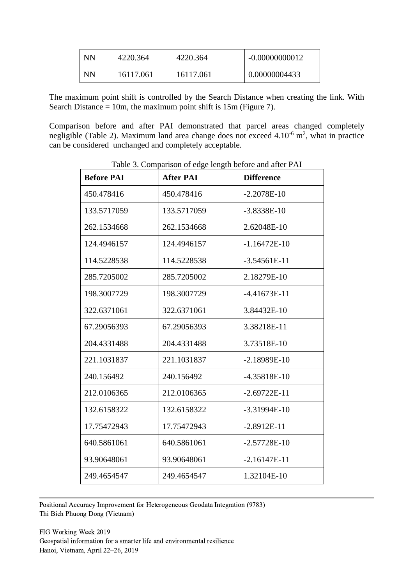| <b>NN</b> | 4220.364  | 4220.364  | $-0.00000000012$ |
|-----------|-----------|-----------|------------------|
| NN        | 16117.061 | 16117.061 | 0.00000004433    |

The maximum point shift is controlled by the Search Distance when creating the link. With Search Distance  $= 10m$ , the maximum point shift is 15m (Figure 7).

Comparison before and after PAI demonstrated that parcel areas changed completely negligible (Table 2). Maximum land area change does not exceed  $4.10^{-6}$  m<sup>2</sup>, what in practice can be considered unchanged and completely acceptable.

| <b>Before PAI</b> | <b>After PAI</b> | <b>Difference</b> |
|-------------------|------------------|-------------------|
| 450.478416        | 450.478416       | $-2.2078E-10$     |
| 133.5717059       | 133.5717059      | $-3.8338E-10$     |
| 262.1534668       | 262.1534668      | 2.62048E-10       |
| 124.4946157       | 124.4946157      | $-1.16472E-10$    |
| 114.5228538       | 114.5228538      | $-3.54561E-11$    |
| 285.7205002       | 285.7205002      | 2.18279E-10       |
| 198.3007729       | 198.3007729      | $-4.41673E-11$    |
| 322.6371061       | 322.6371061      | 3.84432E-10       |
| 67.29056393       | 67.29056393      | 3.38218E-11       |
| 204.4331488       | 204.4331488      | 3.73518E-10       |
| 221.1031837       | 221.1031837      | $-2.18989E-10$    |
| 240.156492        | 240.156492       | -4.35818E-10      |
| 212.0106365       | 212.0106365      | $-2.69722E-11$    |
| 132.6158322       | 132.6158322      | $-3.31994E-10$    |
| 17.75472943       | 17.75472943      | $-2.8912E-11$     |
| 640.5861061       | 640.5861061      | $-2.57728E-10$    |
| 93.90648061       | 93.90648061      | $-2.16147E-11$    |
| 249.4654547       | 249.4654547      | 1.32104E-10       |

Table 3. Comparison of edge length before and after PAI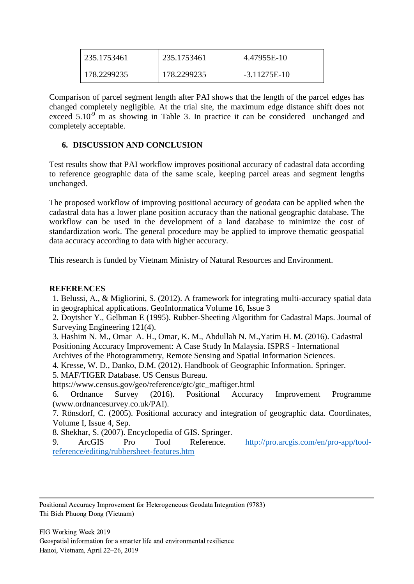| 235.1753461 | 235.1753461 | 4.47955E-10    |
|-------------|-------------|----------------|
| 178.2299235 | 178.2299235 | $-3.11275E-10$ |

Comparison of parcel segment length after PAI shows that the length of the parcel edges has changed completely negligible. At the trial site, the maximum edge distance shift does not exceed  $5.10^{-9}$  m as showing in Table 3. In practice it can be considered unchanged and completely acceptable.

## **6. DISCUSSION AND CONCLUSION**

Test results show that PAI workflow improves positional accuracy of cadastral data according to reference geographic data of the same scale, keeping parcel areas and segment lengths unchanged.

The proposed workflow of improving positional accuracy of geodata can be applied when the cadastral data has a lower plane position accuracy than the national geographic database. The workflow can be used in the development of a land database to minimize the cost of standardization work. The general procedure may be applied to improve thematic geospatial data accuracy according to data with higher accuracy.

This research is funded by Vietnam Ministry of Natural Resources and Environment.

## **REFERENCES**

1. Belussi, A., & Migliorini, S. (2012). A framework for integrating multi-accuracy spatial data in geographical applications. GeoInformatica Volume 16, Issue 3

2. Doytsher Y., Gelbman E (1995). Rubber-Sheeting Algorithm for Cadastral Maps. Journal of Surveying Engineering 121(4).

3. [Hashim N.](http://adsabs.harvard.edu/cgi-bin/author_form?author=Hashim,+N&fullauthor=Hashim,%20N.%20M.&charset=UTF-8&db_key=PHY) M., [Omar A.](http://adsabs.harvard.edu/cgi-bin/author_form?author=Omar,+A&fullauthor=Omar,%20A.%20H.&charset=UTF-8&db_key=PHY) H., [Omar,](http://adsabs.harvard.edu/cgi-bin/author_form?author=Omar,+K&fullauthor=Omar,%20K.%20M.&charset=UTF-8&db_key=PHY) K. M., Abdullah N. M.[,Yatim](http://adsabs.harvard.edu/cgi-bin/author_form?author=Yatim,+M&fullauthor=Yatim,%20M.%20H.%20M.&charset=UTF-8&db_key=PHY) H. M. (2016). Cadastral Positioning Accuracy Improvement: A Case Study In Malaysia. ISPRS - International

Archives of the Photogrammetry, Remote Sensing and Spatial Information Sciences.

4. Kresse, W. D., Danko, D.M. (2012). Handbook of Geographic Information. Springer.

5. MAF/TIGER Database. US Census Bureau.

[https://www.census.gov/geo/reference/gtc/gtc\\_maftiger.html](https://www.census.gov/geo/reference/gtc/gtc_maftiger.html)

6. Ordnance Survey (2016). Positional Accuracy Improvement Programme (www.ordnancesurvey.co.uk/PAI).

7. Rönsdorf, C. (2005). Positional accuracy and integration of geographic data. Coordinates, Volume I, Issue 4, Sep.

8. Shekhar, S. (2007). Encyclopedia of GIS. Springer.

9. ArcGIS Pro Tool Reference. [http://pro.arcgis.com/en/pro-app/tool](http://pro.arcgis.com/en/pro-app/tool-reference/editing/rubbersheet-features.htm)[reference/editing/rubbersheet-features.htm](http://pro.arcgis.com/en/pro-app/tool-reference/editing/rubbersheet-features.htm)